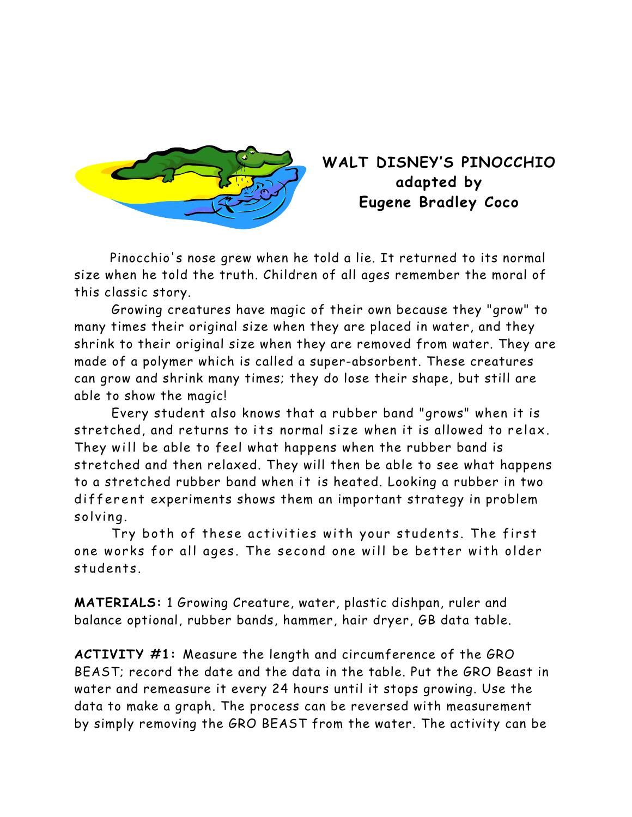

# **WALT DISNEY'S PINOCCHIO adapted by Eugene Bradley Coco**

 Pinocchio's nose grew when he told a lie. It returned to its normal size when he told the truth. Children of all ages remember the moral of this classic story.

 Growing creatures have magic of their own because they "grow" to many times their original size when they are placed in water, and they shrink to their original size when they are removed from water. They are made of a polymer which is called a super-absorbent. These creatures can grow and shrink many times; they do lose their shape, but still are able to show the magic!

Every student also knows that a rubber band "grows" when it is stretched, and returns to its normal size when it is allowed to relax. They will be able to feel what happens when the rubber band is stretched and then relaxed. They will then be able to see what happens to a stretched rubber band when it is heated. Looking a rubber in two different experiments shows them an important strategy in problem solving.

Try both of these activities with your students. The first one works for all ages. The second one will be better with older students.

**MATERIALS:** 1 Growing Creature, water, plastic dishpan, ruler and balance optional, rubber bands, hammer, hair dryer, GB data table.

**ACTIVITY #1:** Measure the length and circumference of the GRO BEAST; record the date and the data in the table. Put the GRO Beast in water and remeasure it every 24 hours until it stops growing. Use the data to make a graph. The process can be reversed with measurement by simply removing the GRO BEAST from the water. The activity can be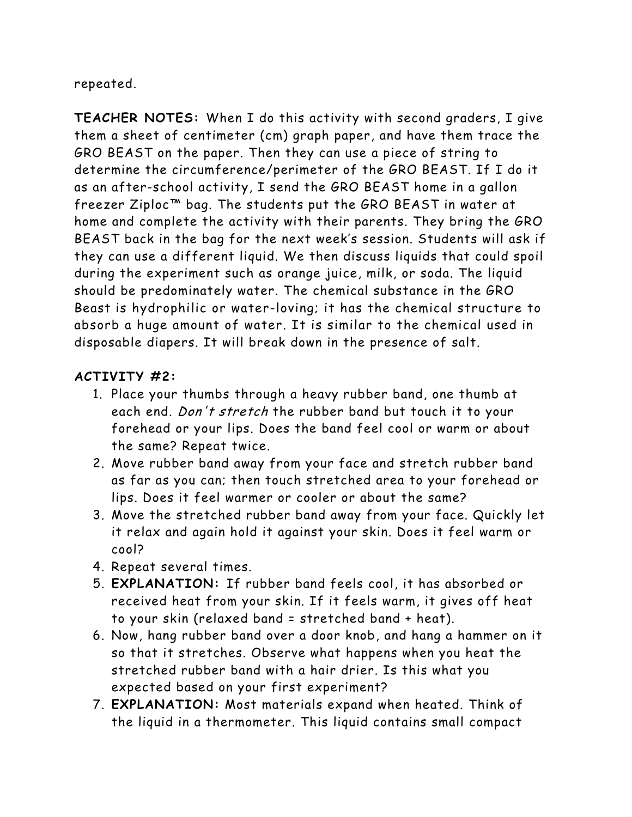repeated.

**TEACHER NOTES:** When I do this activity with second graders, I give them a sheet of centimeter (cm) graph paper, and have them trace the GRO BEAST on the paper. Then they can use a piece of string to determine the circumference/perimeter of the GRO BEAST. If I do it as an after-school activity, I send the GRO BEAST home in a gallon freezer Ziploc™ bag. The students put the GRO BEAST in water at home and complete the activity with their parents. They bring the GRO BEAST back in the bag for the next week's session. Students will ask if they can use a different liquid. We then discuss liquids that could spoil during the experiment such as orange juice, milk, or soda. The liquid should be predominately water. The chemical substance in the GRO Beast is hydrophilic or water-loving; it has the chemical structure to absorb a huge amount of water. It is similar to the chemical used in disposable diapers. It will break down in the presence of salt.

## **ACTIVITY #2:**

- 1. Place your thumbs through a heavy rubber band, one thumb at each end. Don't stretch the rubber band but touch it to your forehead or your lips. Does the band feel cool or warm or about the same? Repeat twice.
- 2. Move rubber band away from your face and stretch rubber band as far as you can; then touch stretched area to your forehead or lips. Does it feel warmer or cooler or about the same?
- 3. Move the stretched rubber band away from your face. Quickly let it relax and again hold it against your skin. Does it feel warm or cool?
- 4. Repeat several times.
- 5. **EXPLANATION:** If rubber band feels cool, it has absorbed or received heat from your skin. If it feels warm, it gives off heat to your skin (relaxed band = stretched band + heat).
- 6. Now, hang rubber band over a door knob, and hang a hammer on it so that it stretches. Observe what happens when you heat the stretched rubber band with a hair drier. Is this what you expected based on your first experiment?
- 7. **EXPLANATION:** Most materials expand when heated. Think of the liquid in a thermometer. This liquid contains small compact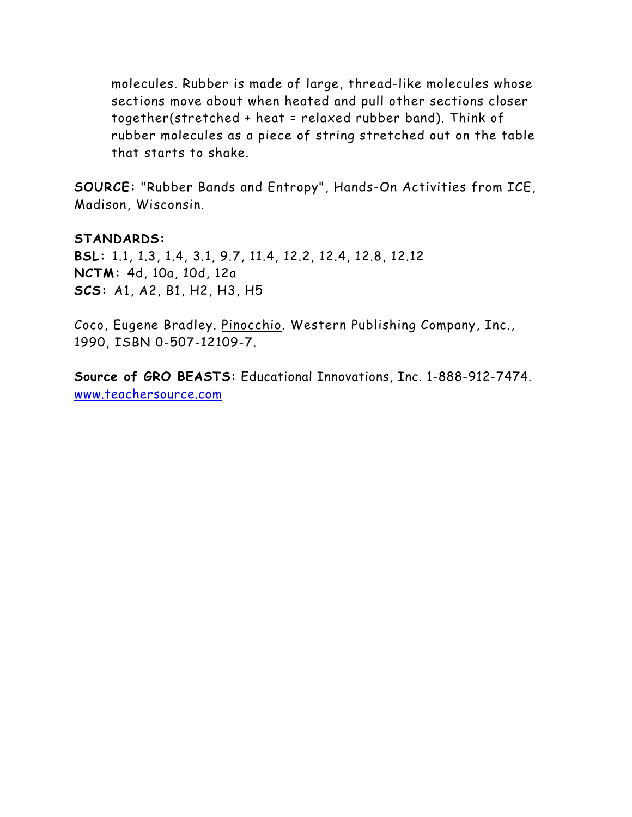molecules. Rubber is made of large, thread-like molecules whose sections move about when heated and pull other sections closer together(stretched + heat = relaxed rubber band). Think of rubber molecules as a piece of string stretched out on the table that starts to shake.

**SOURCE:** "Rubber Bands and Entropy", Hands-On Activities from ICE, Madison, Wisconsin.

#### **STANDARDS:**

**BSL:** 1.1, 1.3, 1.4, 3.1, 9.7, 11.4, 12.2, 12.4, 12.8, 12.12 **NCTM:** 4d, 10a, 10d, 12a **SCS:** A1, A2, B1, H2, H3, H5

Coco, Eugene Bradley. Pinocchio. Western Publishing Company, Inc., 1990, ISBN 0-507-12109-7.

**Source of GRO BEASTS:** Educational Innovations, Inc. 1-888-912-7474. www.teachersource.com